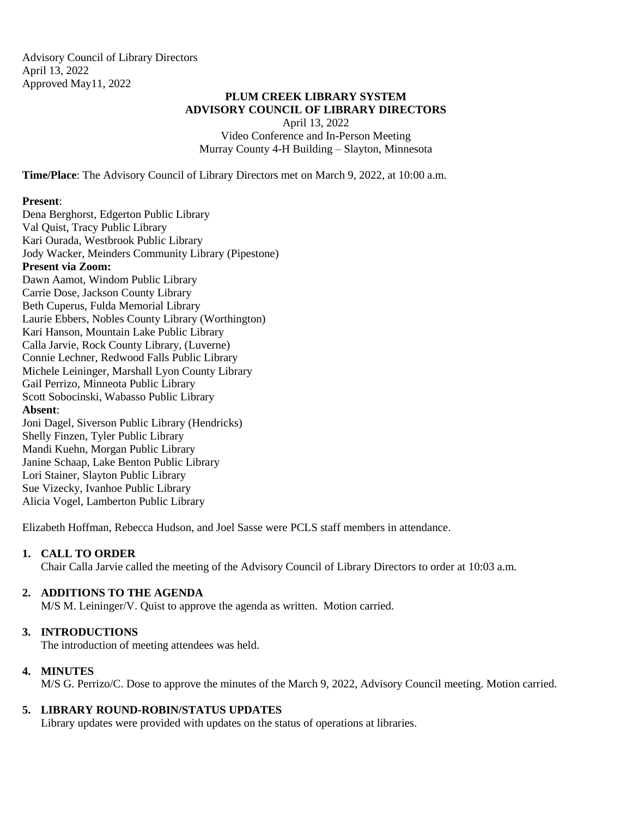Advisory Council of Library Directors April 13, 2022 Approved May11, 2022

# **PLUM CREEK LIBRARY SYSTEM ADVISORY COUNCIL OF LIBRARY DIRECTORS**

April 13, 2022 Video Conference and In-Person Meeting Murray County 4-H Building – Slayton, Minnesota

**Time/Place**: The Advisory Council of Library Directors met on March 9, 2022, at 10:00 a.m.

### **Present**:

Dena Berghorst, Edgerton Public Library Val Quist, Tracy Public Library Kari Ourada, Westbrook Public Library Jody Wacker, Meinders Community Library (Pipestone) **Present via Zoom:** Dawn Aamot, Windom Public Library Carrie Dose, Jackson County Library Beth Cuperus, Fulda Memorial Library Laurie Ebbers, Nobles County Library (Worthington) Kari Hanson, Mountain Lake Public Library Calla Jarvie, Rock County Library, (Luverne) Connie Lechner, Redwood Falls Public Library Michele Leininger, Marshall Lyon County Library Gail Perrizo, Minneota Public Library Scott Sobocinski, Wabasso Public Library **Absent**: Joni Dagel, Siverson Public Library (Hendricks) Shelly Finzen, Tyler Public Library Mandi Kuehn, Morgan Public Library Janine Schaap, Lake Benton Public Library Lori Stainer, Slayton Public Library Sue Vizecky, Ivanhoe Public Library Alicia Vogel, Lamberton Public Library

Elizabeth Hoffman, Rebecca Hudson, and Joel Sasse were PCLS staff members in attendance.

### **1. CALL TO ORDER**

Chair Calla Jarvie called the meeting of the Advisory Council of Library Directors to order at 10:03 a.m.

### **2. ADDITIONS TO THE AGENDA**

M/S M. Leininger/V. Quist to approve the agenda as written. Motion carried.

### **3. INTRODUCTIONS**

The introduction of meeting attendees was held.

### **4. MINUTES**

M/S G. Perrizo/C. Dose to approve the minutes of the March 9, 2022, Advisory Council meeting. Motion carried.

### **5. LIBRARY ROUND-ROBIN/STATUS UPDATES**

Library updates were provided with updates on the status of operations at libraries.